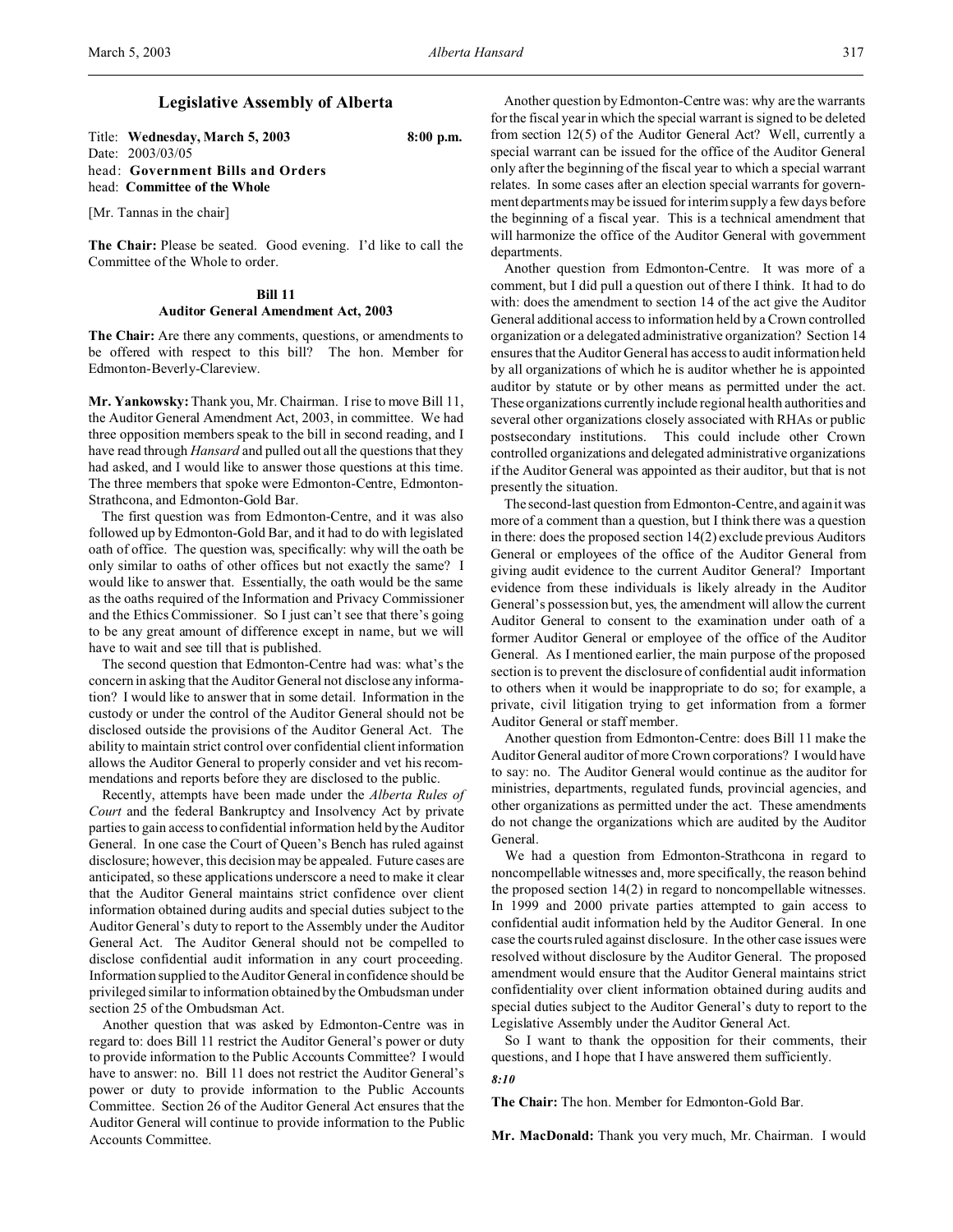## **Legislative Assembly of Alberta**

Title: **Wednesday, March 5, 2003 8:00 p.m.** Date: 2003/03/05 head: **Government Bills and Orders** head: **Committee of the Whole**

[Mr. Tannas in the chair]

**The Chair:** Please be seated. Good evening. I'd like to call the Committee of the Whole to order.

### **Bill 11 Auditor General Amendment Act, 2003**

**The Chair:** Are there any comments, questions, or amendments to be offered with respect to this bill? The hon. Member for Edmonton-Beverly-Clareview.

**Mr. Yankowsky:** Thank you, Mr. Chairman. I rise to move Bill 11, the Auditor General Amendment Act, 2003, in committee. We had three opposition members speak to the bill in second reading, and I have read through *Hansard* and pulled out all the questions that they had asked, and I would like to answer those questions at this time. The three members that spoke were Edmonton-Centre, Edmonton-Strathcona, and Edmonton-Gold Bar.

The first question was from Edmonton-Centre, and it was also followed up by Edmonton-Gold Bar, and it had to do with legislated oath of office. The question was, specifically: why will the oath be only similar to oaths of other offices but not exactly the same? I would like to answer that. Essentially, the oath would be the same as the oaths required of the Information and Privacy Commissioner and the Ethics Commissioner. So I just can't see that there's going to be any great amount of difference except in name, but we will have to wait and see till that is published.

The second question that Edmonton-Centre had was: what's the concern in asking that the Auditor General not disclose any information? I would like to answer that in some detail. Information in the custody or under the control of the Auditor General should not be disclosed outside the provisions of the Auditor General Act. The ability to maintain strict control over confidential client information allows the Auditor General to properly consider and vet his recommendations and reports before they are disclosed to the public.

Recently, attempts have been made under the *Alberta Rules of Court* and the federal Bankruptcy and Insolvency Act by private parties to gain access to confidential information held by the Auditor General. In one case the Court of Queen's Bench has ruled against disclosure; however, this decision may be appealed. Future cases are anticipated, so these applications underscore a need to make it clear that the Auditor General maintains strict confidence over client information obtained during audits and special duties subject to the Auditor General's duty to report to the Assembly under the Auditor General Act. The Auditor General should not be compelled to disclose confidential audit information in any court proceeding. Information supplied to the Auditor General in confidence should be privileged similar to information obtained by the Ombudsman under section 25 of the Ombudsman Act.

Another question that was asked by Edmonton-Centre was in regard to: does Bill 11 restrict the Auditor General's power or duty to provide information to the Public Accounts Committee? I would have to answer: no. Bill 11 does not restrict the Auditor General's power or duty to provide information to the Public Accounts Committee. Section 26 of the Auditor General Act ensures that the Auditor General will continue to provide information to the Public Accounts Committee.

Another question by Edmonton-Centre was: why are the warrants for the fiscal year in which the special warrant is signed to be deleted from section 12(5) of the Auditor General Act? Well, currently a special warrant can be issued for the office of the Auditor General only after the beginning of the fiscal year to which a special warrant relates. In some cases after an election special warrants for government departments may be issued for interim supply a few days before the beginning of a fiscal year. This is a technical amendment that will harmonize the office of the Auditor General with government departments.

Another question from Edmonton-Centre. It was more of a comment, but I did pull a question out of there I think. It had to do with: does the amendment to section 14 of the act give the Auditor General additional access to information held by a Crown controlled organization or a delegated administrative organization? Section 14 ensures that the Auditor General has access to audit information held by all organizations of which he is auditor whether he is appointed auditor by statute or by other means as permitted under the act. These organizations currently include regional health authorities and several other organizations closely associated with RHAs or public postsecondary institutions. This could include other Crown controlled organizations and delegated administrative organizations if the Auditor General was appointed as their auditor, but that is not presently the situation.

The second-last question from Edmonton-Centre, and again it was more of a comment than a question, but I think there was a question in there: does the proposed section 14(2) exclude previous Auditors General or employees of the office of the Auditor General from giving audit evidence to the current Auditor General? Important evidence from these individuals is likely already in the Auditor General's possession but, yes, the amendment will allow the current Auditor General to consent to the examination under oath of a former Auditor General or employee of the office of the Auditor General. As I mentioned earlier, the main purpose of the proposed section is to prevent the disclosure of confidential audit information to others when it would be inappropriate to do so; for example, a private, civil litigation trying to get information from a former Auditor General or staff member.

Another question from Edmonton-Centre: does Bill 11 make the Auditor General auditor of more Crown corporations? I would have to say: no. The Auditor General would continue as the auditor for ministries, departments, regulated funds, provincial agencies, and other organizations as permitted under the act. These amendments do not change the organizations which are audited by the Auditor General.

We had a question from Edmonton-Strathcona in regard to noncompellable witnesses and, more specifically, the reason behind the proposed section 14(2) in regard to noncompellable witnesses. In 1999 and 2000 private parties attempted to gain access to confidential audit information held by the Auditor General. In one case the courts ruled against disclosure. In the other case issues were resolved without disclosure by the Auditor General. The proposed amendment would ensure that the Auditor General maintains strict confidentiality over client information obtained during audits and special duties subject to the Auditor General's duty to report to the Legislative Assembly under the Auditor General Act.

So I want to thank the opposition for their comments, their questions, and I hope that I have answered them sufficiently.

*8:10*

**The Chair:** The hon. Member for Edmonton-Gold Bar.

**Mr. MacDonald:** Thank you very much, Mr. Chairman. I would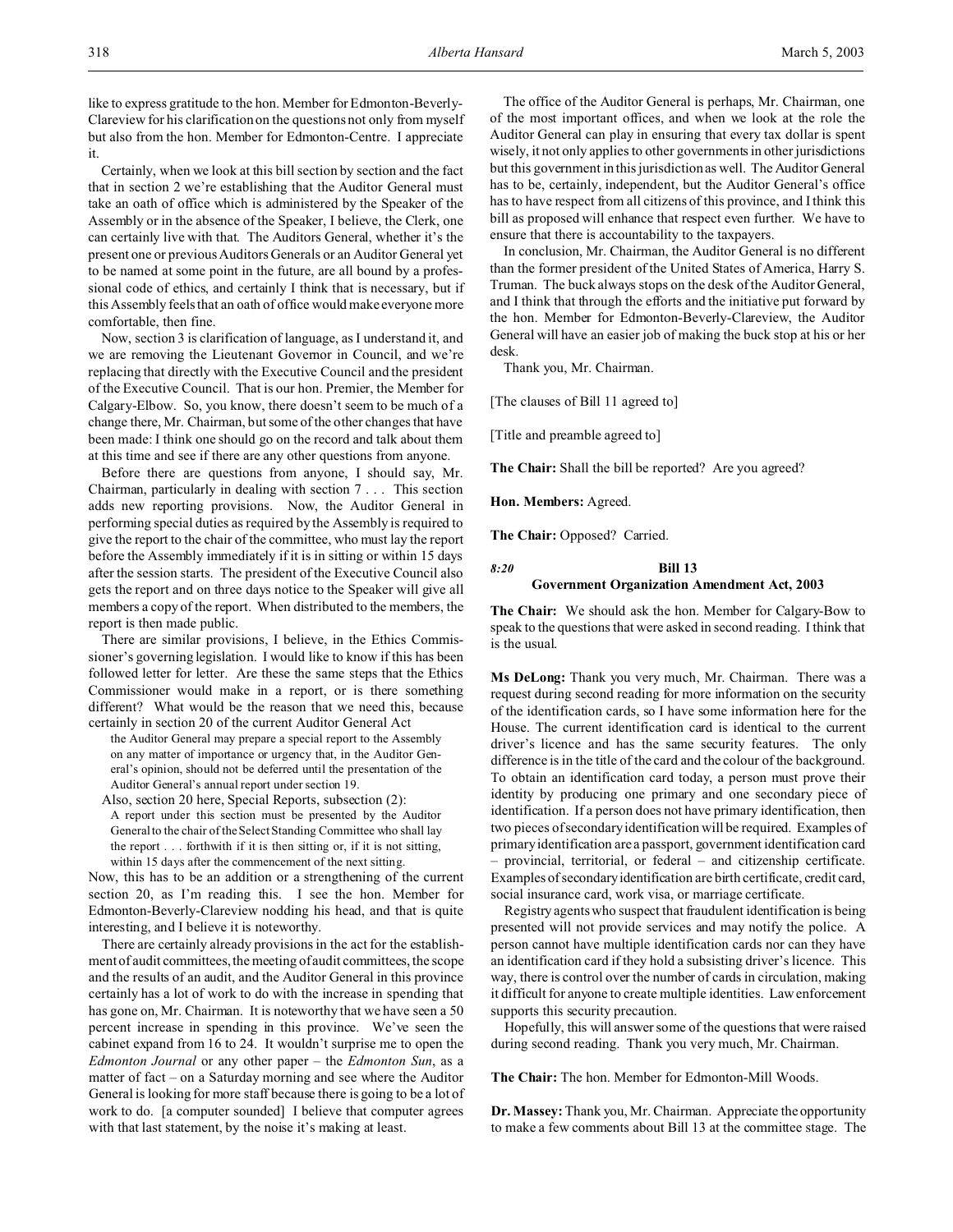like to express gratitude to the hon. Member for Edmonton-Beverly-Clareview for his clarification on the questions not only from myself but also from the hon. Member for Edmonton-Centre. I appreciate it.

Certainly, when we look at this bill section by section and the fact that in section 2 we're establishing that the Auditor General must take an oath of office which is administered by the Speaker of the Assembly or in the absence of the Speaker, I believe, the Clerk, one can certainly live with that. The Auditors General, whether it's the present one or previous Auditors Generals or an Auditor General yet to be named at some point in the future, are all bound by a professional code of ethics, and certainly I think that is necessary, but if this Assembly feels that an oath of office would make everyone more comfortable, then fine.

Now, section 3 is clarification of language, as I understand it, and we are removing the Lieutenant Governor in Council, and we're replacing that directly with the Executive Council and the president of the Executive Council. That is our hon. Premier, the Member for Calgary-Elbow. So, you know, there doesn't seem to be much of a change there, Mr. Chairman, but some of the other changes that have been made: I think one should go on the record and talk about them at this time and see if there are any other questions from anyone.

Before there are questions from anyone, I should say, Mr. Chairman, particularly in dealing with section 7 . . . This section adds new reporting provisions. Now, the Auditor General in performing special duties as required by the Assembly is required to give the report to the chair of the committee, who must lay the report before the Assembly immediately if it is in sitting or within 15 days after the session starts. The president of the Executive Council also gets the report and on three days notice to the Speaker will give all members a copy of the report. When distributed to the members, the report is then made public.

There are similar provisions, I believe, in the Ethics Commissioner's governing legislation. I would like to know if this has been followed letter for letter. Are these the same steps that the Ethics Commissioner would make in a report, or is there something different? What would be the reason that we need this, because certainly in section 20 of the current Auditor General Act

the Auditor General may prepare a special report to the Assembly on any matter of importance or urgency that, in the Auditor General's opinion, should not be deferred until the presentation of the Auditor General's annual report under section 19.

Also, section 20 here, Special Reports, subsection (2): A report under this section must be presented by the Auditor General to the chair of the Select Standing Committee who shall lay the report . . . forthwith if it is then sitting or, if it is not sitting, within 15 days after the commencement of the next sitting.

Now, this has to be an addition or a strengthening of the current section 20, as I'm reading this. I see the hon. Member for Edmonton-Beverly-Clareview nodding his head, and that is quite interesting, and I believe it is noteworthy.

There are certainly already provisions in the act for the establishment of audit committees, the meeting of audit committees, the scope and the results of an audit, and the Auditor General in this province certainly has a lot of work to do with the increase in spending that has gone on, Mr. Chairman. It is noteworthy that we have seen a 50 percent increase in spending in this province. We've seen the cabinet expand from 16 to 24. It wouldn't surprise me to open the *Edmonton Journal* or any other paper – the *Edmonton Sun*, as a matter of fact – on a Saturday morning and see where the Auditor General is looking for more staff because there is going to be a lot of work to do. [a computer sounded] I believe that computer agrees with that last statement, by the noise it's making at least.

The office of the Auditor General is perhaps, Mr. Chairman, one of the most important offices, and when we look at the role the Auditor General can play in ensuring that every tax dollar is spent wisely, it not only applies to other governments in other jurisdictions but this government in this jurisdiction as well. The Auditor General has to be, certainly, independent, but the Auditor General's office has to have respect from all citizens of this province, and I think this bill as proposed will enhance that respect even further. We have to ensure that there is accountability to the taxpayers.

In conclusion, Mr. Chairman, the Auditor General is no different than the former president of the United States of America, Harry S. Truman. The buck always stops on the desk of the Auditor General, and I think that through the efforts and the initiative put forward by the hon. Member for Edmonton-Beverly-Clareview, the Auditor General will have an easier job of making the buck stop at his or her desk.

Thank you, Mr. Chairman.

[The clauses of Bill 11 agreed to]

[Title and preamble agreed to]

**The Chair:** Shall the bill be reported? Are you agreed?

**Hon. Members:** Agreed.

**The Chair:** Opposed? Carried.

*8:20* **Bill 13**

## **Government Organization Amendment Act, 2003**

**The Chair:** We should ask the hon. Member for Calgary-Bow to speak to the questions that were asked in second reading. I think that is the usual.

**Ms DeLong:** Thank you very much, Mr. Chairman. There was a request during second reading for more information on the security of the identification cards, so I have some information here for the House. The current identification card is identical to the current driver's licence and has the same security features. The only difference is in the title of the card and the colour of the background. To obtain an identification card today, a person must prove their identity by producing one primary and one secondary piece of identification. If a person does not have primary identification, then two pieces of secondary identification will be required. Examples of primary identification are a passport, government identification card – provincial, territorial, or federal – and citizenship certificate. Examples of secondaryidentification are birth certificate, credit card, social insurance card, work visa, or marriage certificate.

Registry agents who suspect that fraudulent identification is being presented will not provide services and may notify the police. A person cannot have multiple identification cards nor can they have an identification card if they hold a subsisting driver's licence. This way, there is control over the number of cards in circulation, making it difficult for anyone to create multiple identities. Law enforcement supports this security precaution.

Hopefully, this will answer some of the questions that were raised during second reading. Thank you very much, Mr. Chairman.

**The Chair:** The hon. Member for Edmonton-Mill Woods.

**Dr. Massey:**Thank you, Mr. Chairman. Appreciate the opportunity to make a few comments about Bill 13 at the committee stage. The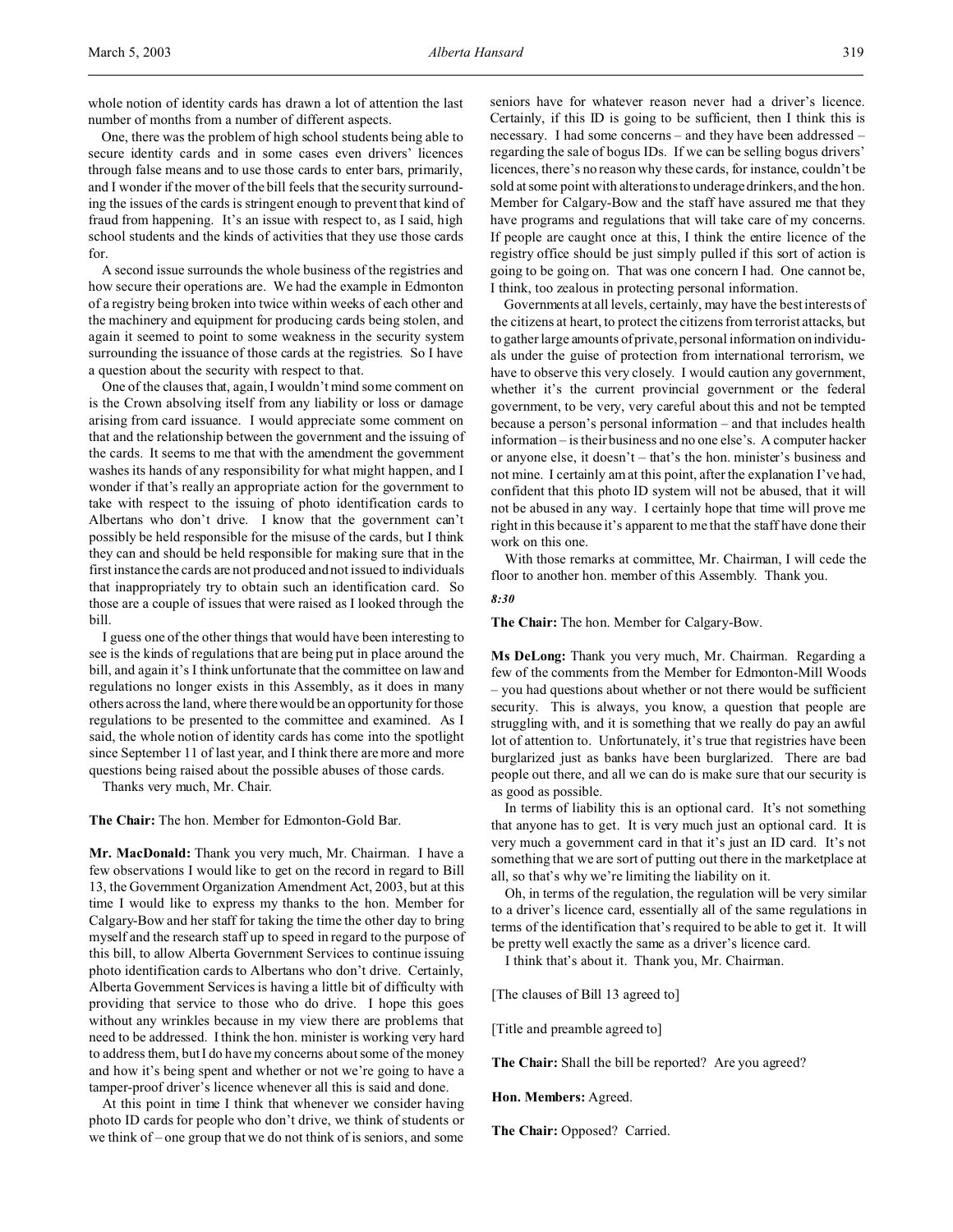whole notion of identity cards has drawn a lot of attention the last number of months from a number of different aspects.

One, there was the problem of high school students being able to secure identity cards and in some cases even drivers' licences through false means and to use those cards to enter bars, primarily, and I wonder if the mover of the bill feels that the security surrounding the issues of the cards is stringent enough to prevent that kind of fraud from happening. It's an issue with respect to, as I said, high school students and the kinds of activities that they use those cards for.

A second issue surrounds the whole business of the registries and how secure their operations are. We had the example in Edmonton of a registry being broken into twice within weeks of each other and the machinery and equipment for producing cards being stolen, and again it seemed to point to some weakness in the security system surrounding the issuance of those cards at the registries. So I have a question about the security with respect to that.

One of the clauses that, again, I wouldn't mind some comment on is the Crown absolving itself from any liability or loss or damage arising from card issuance. I would appreciate some comment on that and the relationship between the government and the issuing of the cards. It seems to me that with the amendment the government washes its hands of any responsibility for what might happen, and I wonder if that's really an appropriate action for the government to take with respect to the issuing of photo identification cards to Albertans who don't drive. I know that the government can't possibly be held responsible for the misuse of the cards, but I think they can and should be held responsible for making sure that in the first instance the cards are not produced and not issued to individuals that inappropriately try to obtain such an identification card. So those are a couple of issues that were raised as I looked through the bill.

I guess one of the other things that would have been interesting to see is the kinds of regulations that are being put in place around the bill, and again it's I think unfortunate that the committee on law and regulations no longer exists in this Assembly, as it does in many others across the land, where there would be an opportunity for those regulations to be presented to the committee and examined. As I said, the whole notion of identity cards has come into the spotlight since September 11 of last year, and I think there are more and more questions being raised about the possible abuses of those cards.

Thanks very much, Mr. Chair.

**The Chair:** The hon. Member for Edmonton-Gold Bar.

**Mr. MacDonald:** Thank you very much, Mr. Chairman. I have a few observations I would like to get on the record in regard to Bill 13, the Government Organization Amendment Act, 2003, but at this time I would like to express my thanks to the hon. Member for Calgary-Bow and her staff for taking the time the other day to bring myself and the research staff up to speed in regard to the purpose of this bill, to allow Alberta Government Services to continue issuing photo identification cards to Albertans who don't drive. Certainly, Alberta Government Services is having a little bit of difficulty with providing that service to those who do drive. I hope this goes without any wrinkles because in my view there are problems that need to be addressed. I think the hon. minister is working very hard to address them, but I do have my concerns about some of the money and how it's being spent and whether or not we're going to have a tamper-proof driver's licence whenever all this is said and done.

At this point in time I think that whenever we consider having photo ID cards for people who don't drive, we think of students or we think of – one group that we do not think of is seniors, and some

seniors have for whatever reason never had a driver's licence. Certainly, if this ID is going to be sufficient, then I think this is necessary. I had some concerns – and they have been addressed – regarding the sale of bogus IDs. If we can be selling bogus drivers' licences, there's no reason why these cards, for instance, couldn't be sold at some point with alterations to underage drinkers, and the hon. Member for Calgary-Bow and the staff have assured me that they have programs and regulations that will take care of my concerns. If people are caught once at this, I think the entire licence of the registry office should be just simply pulled if this sort of action is going to be going on. That was one concern I had. One cannot be, I think, too zealous in protecting personal information.

Governments at all levels, certainly, may have the best interests of the citizens at heart, to protect the citizens from terrorist attacks, but to gather large amounts of private, personal information on individuals under the guise of protection from international terrorism, we have to observe this very closely. I would caution any government, whether it's the current provincial government or the federal government, to be very, very careful about this and not be tempted because a person's personal information – and that includes health information – is their business and no one else's. A computer hacker or anyone else, it doesn't – that's the hon. minister's business and not mine. I certainly am at this point, after the explanation I've had, confident that this photo ID system will not be abused, that it will not be abused in any way. I certainly hope that time will prove me right in this because it's apparent to me that the staff have done their work on this one.

With those remarks at committee, Mr. Chairman, I will cede the floor to another hon. member of this Assembly. Thank you.

### *8:30*

**The Chair:** The hon. Member for Calgary-Bow.

**Ms DeLong:** Thank you very much, Mr. Chairman. Regarding a few of the comments from the Member for Edmonton-Mill Woods – you had questions about whether or not there would be sufficient security. This is always, you know, a question that people are struggling with, and it is something that we really do pay an awful lot of attention to. Unfortunately, it's true that registries have been burglarized just as banks have been burglarized. There are bad people out there, and all we can do is make sure that our security is as good as possible.

In terms of liability this is an optional card. It's not something that anyone has to get. It is very much just an optional card. It is very much a government card in that it's just an ID card. It's not something that we are sort of putting out there in the marketplace at all, so that's why we're limiting the liability on it.

Oh, in terms of the regulation, the regulation will be very similar to a driver's licence card, essentially all of the same regulations in terms of the identification that's required to be able to get it. It will be pretty well exactly the same as a driver's licence card.

I think that's about it. Thank you, Mr. Chairman.

[The clauses of Bill 13 agreed to]

[Title and preamble agreed to]

**The Chair:** Shall the bill be reported? Are you agreed?

**Hon. Members:** Agreed.

**The Chair:** Opposed? Carried.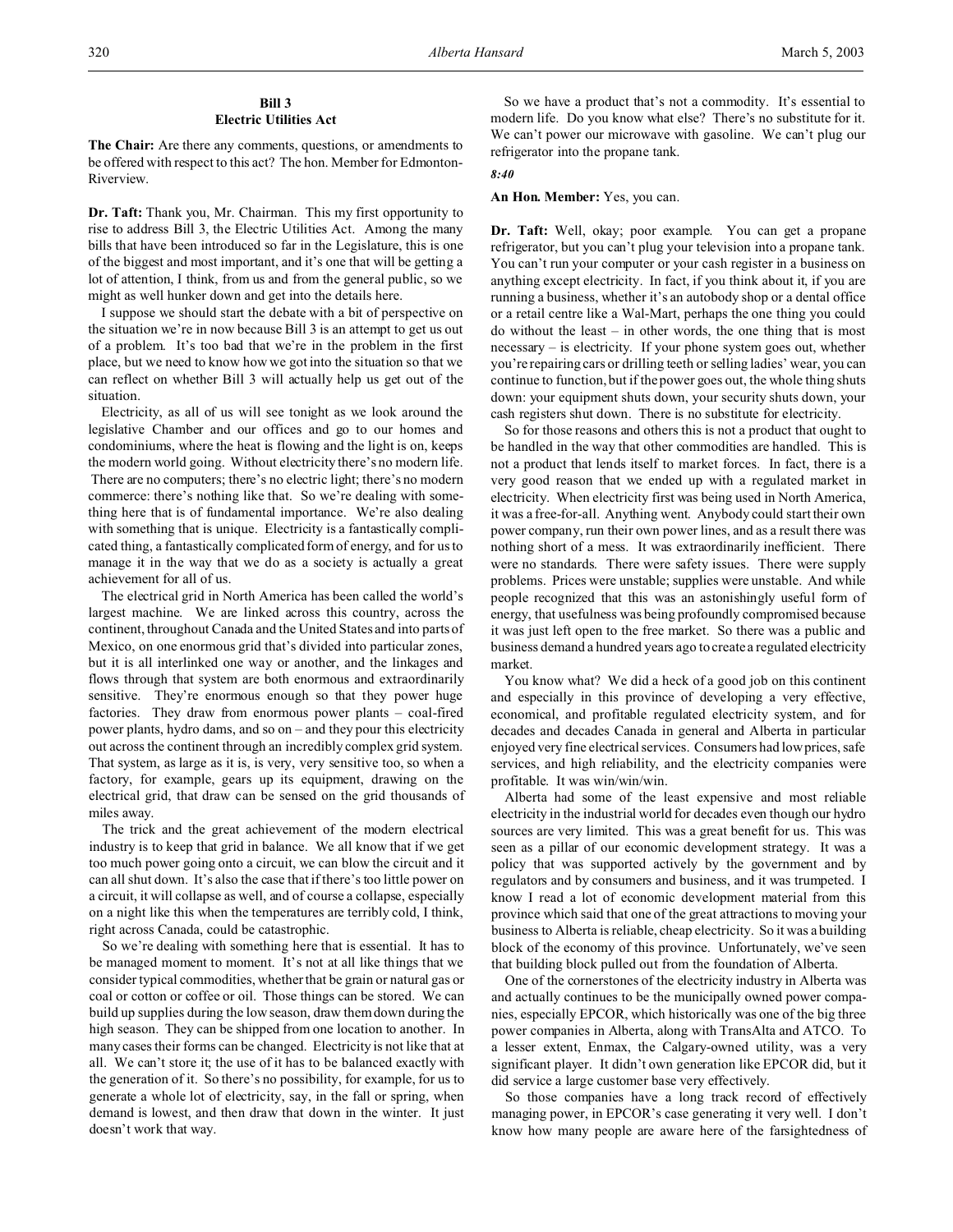# **Bill 3 Electric Utilities Act**

**The Chair:** Are there any comments, questions, or amendments to be offered with respect to this act? The hon. Member for Edmonton-Riverview.

**Dr. Taft:** Thank you, Mr. Chairman. This my first opportunity to rise to address Bill 3, the Electric Utilities Act. Among the many bills that have been introduced so far in the Legislature, this is one of the biggest and most important, and it's one that will be getting a lot of attention, I think, from us and from the general public, so we might as well hunker down and get into the details here.

I suppose we should start the debate with a bit of perspective on the situation we're in now because Bill 3 is an attempt to get us out of a problem. It's too bad that we're in the problem in the first place, but we need to know how we got into the situation so that we can reflect on whether Bill 3 will actually help us get out of the situation.

Electricity, as all of us will see tonight as we look around the legislative Chamber and our offices and go to our homes and condominiums, where the heat is flowing and the light is on, keeps the modern world going. Without electricity there's no modern life. There are no computers; there's no electric light; there's no modern commerce: there's nothing like that. So we're dealing with something here that is of fundamental importance. We're also dealing with something that is unique. Electricity is a fantastically complicated thing, a fantastically complicated form of energy, and for us to manage it in the way that we do as a society is actually a great achievement for all of us.

The electrical grid in North America has been called the world's largest machine. We are linked across this country, across the continent, throughout Canada and the United States and into parts of Mexico, on one enormous grid that's divided into particular zones, but it is all interlinked one way or another, and the linkages and flows through that system are both enormous and extraordinarily sensitive. They're enormous enough so that they power huge factories. They draw from enormous power plants – coal-fired power plants, hydro dams, and so on – and they pour this electricity out across the continent through an incredibly complex grid system. That system, as large as it is, is very, very sensitive too, so when a factory, for example, gears up its equipment, drawing on the electrical grid, that draw can be sensed on the grid thousands of miles away.

The trick and the great achievement of the modern electrical industry is to keep that grid in balance. We all know that if we get too much power going onto a circuit, we can blow the circuit and it can all shut down. It's also the case that if there's too little power on a circuit, it will collapse as well, and of course a collapse, especially on a night like this when the temperatures are terribly cold, I think, right across Canada, could be catastrophic.

So we're dealing with something here that is essential. It has to be managed moment to moment. It's not at all like things that we consider typical commodities, whether that be grain or natural gas or coal or cotton or coffee or oil. Those things can be stored. We can build up supplies during the low season, draw them down during the high season. They can be shipped from one location to another. In many cases their forms can be changed. Electricity is not like that at all. We can't store it; the use of it has to be balanced exactly with the generation of it. So there's no possibility, for example, for us to generate a whole lot of electricity, say, in the fall or spring, when demand is lowest, and then draw that down in the winter. It just doesn't work that way.

So we have a product that's not a commodity. It's essential to modern life. Do you know what else? There's no substitute for it. We can't power our microwave with gasoline. We can't plug our refrigerator into the propane tank.

#### *8:40*

### **An Hon. Member:** Yes, you can.

**Dr. Taft:** Well, okay; poor example. You can get a propane refrigerator, but you can't plug your television into a propane tank. You can't run your computer or your cash register in a business on anything except electricity. In fact, if you think about it, if you are running a business, whether it's an autobody shop or a dental office or a retail centre like a Wal-Mart, perhaps the one thing you could do without the least – in other words, the one thing that is most necessary – is electricity. If your phone system goes out, whether you're repairing cars or drilling teeth or selling ladies' wear, you can continue to function, but if the power goes out, the whole thing shuts down: your equipment shuts down, your security shuts down, your cash registers shut down. There is no substitute for electricity.

So for those reasons and others this is not a product that ought to be handled in the way that other commodities are handled. This is not a product that lends itself to market forces. In fact, there is a very good reason that we ended up with a regulated market in electricity. When electricity first was being used in North America, it was a free-for-all. Anything went. Anybody could start their own power company, run their own power lines, and as a result there was nothing short of a mess. It was extraordinarily inefficient. There were no standards. There were safety issues. There were supply problems. Prices were unstable; supplies were unstable. And while people recognized that this was an astonishingly useful form of energy, that usefulness was being profoundly compromised because it was just left open to the free market. So there was a public and business demand a hundred years ago to create a regulated electricity market.

You know what? We did a heck of a good job on this continent and especially in this province of developing a very effective, economical, and profitable regulated electricity system, and for decades and decades Canada in general and Alberta in particular enjoyed very fine electrical services. Consumers had low prices, safe services, and high reliability, and the electricity companies were profitable. It was win/win/win.

Alberta had some of the least expensive and most reliable electricity in the industrial world for decades even though our hydro sources are very limited. This was a great benefit for us. This was seen as a pillar of our economic development strategy. It was a policy that was supported actively by the government and by regulators and by consumers and business, and it was trumpeted. I know I read a lot of economic development material from this province which said that one of the great attractions to moving your business to Alberta is reliable, cheap electricity. So it was a building block of the economy of this province. Unfortunately, we've seen that building block pulled out from the foundation of Alberta.

One of the cornerstones of the electricity industry in Alberta was and actually continues to be the municipally owned power companies, especially EPCOR, which historically was one of the big three power companies in Alberta, along with TransAlta and ATCO. To a lesser extent, Enmax, the Calgary-owned utility, was a very significant player. It didn't own generation like EPCOR did, but it did service a large customer base very effectively.

So those companies have a long track record of effectively managing power, in EPCOR's case generating it very well. I don't know how many people are aware here of the farsightedness of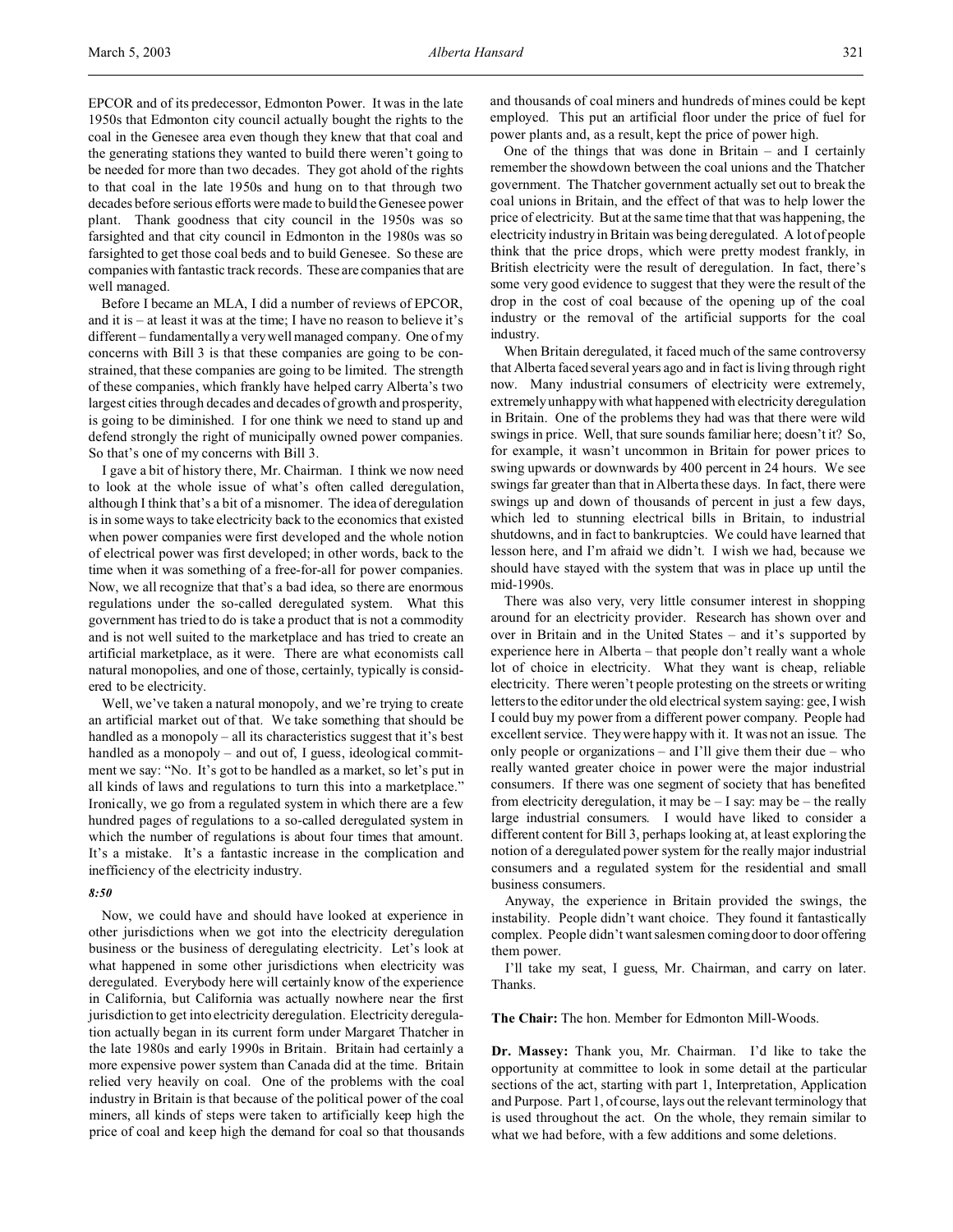EPCOR and of its predecessor, Edmonton Power. It was in the late 1950s that Edmonton city council actually bought the rights to the coal in the Genesee area even though they knew that that coal and the generating stations they wanted to build there weren't going to be needed for more than two decades. They got ahold of the rights to that coal in the late 1950s and hung on to that through two decades before serious efforts were made to build the Genesee power plant. Thank goodness that city council in the 1950s was so farsighted and that city council in Edmonton in the 1980s was so farsighted to get those coal beds and to build Genesee. So these are companies with fantastic track records. These are companies that are well managed.

Before I became an MLA, I did a number of reviews of EPCOR, and it is – at least it was at the time; I have no reason to believe it's different – fundamentally a very well managed company. One of my concerns with Bill 3 is that these companies are going to be constrained, that these companies are going to be limited. The strength of these companies, which frankly have helped carry Alberta's two largest cities through decades and decades of growth and prosperity, is going to be diminished. I for one think we need to stand up and defend strongly the right of municipally owned power companies. So that's one of my concerns with Bill 3.

I gave a bit of history there, Mr. Chairman. I think we now need to look at the whole issue of what's often called deregulation, although I think that's a bit of a misnomer. The idea of deregulation is in some ways to take electricity back to the economics that existed when power companies were first developed and the whole notion of electrical power was first developed; in other words, back to the time when it was something of a free-for-all for power companies. Now, we all recognize that that's a bad idea, so there are enormous regulations under the so-called deregulated system. What this government has tried to do is take a product that is not a commodity and is not well suited to the marketplace and has tried to create an artificial marketplace, as it were. There are what economists call natural monopolies, and one of those, certainly, typically is considered to be electricity.

Well, we've taken a natural monopoly, and we're trying to create an artificial market out of that. We take something that should be handled as a monopoly – all its characteristics suggest that it's best handled as a monopoly – and out of, I guess, ideological commitment we say: "No. It's got to be handled as a market, so let's put in all kinds of laws and regulations to turn this into a marketplace." Ironically, we go from a regulated system in which there are a few hundred pages of regulations to a so-called deregulated system in which the number of regulations is about four times that amount. It's a mistake. It's a fantastic increase in the complication and inefficiency of the electricity industry.

## *8:50*

Now, we could have and should have looked at experience in other jurisdictions when we got into the electricity deregulation business or the business of deregulating electricity. Let's look at what happened in some other jurisdictions when electricity was deregulated. Everybody here will certainly know of the experience in California, but California was actually nowhere near the first jurisdiction to get into electricity deregulation. Electricity deregulation actually began in its current form under Margaret Thatcher in the late 1980s and early 1990s in Britain. Britain had certainly a more expensive power system than Canada did at the time. Britain relied very heavily on coal. One of the problems with the coal industry in Britain is that because of the political power of the coal miners, all kinds of steps were taken to artificially keep high the price of coal and keep high the demand for coal so that thousands and thousands of coal miners and hundreds of mines could be kept employed. This put an artificial floor under the price of fuel for power plants and, as a result, kept the price of power high.

One of the things that was done in Britain – and I certainly remember the showdown between the coal unions and the Thatcher government. The Thatcher government actually set out to break the coal unions in Britain, and the effect of that was to help lower the price of electricity. But at the same time that that was happening, the electricity industry in Britain was being deregulated. A lot of people think that the price drops, which were pretty modest frankly, in British electricity were the result of deregulation. In fact, there's some very good evidence to suggest that they were the result of the drop in the cost of coal because of the opening up of the coal industry or the removal of the artificial supports for the coal industry.

When Britain deregulated, it faced much of the same controversy that Alberta faced several years ago and in fact is living through right now. Many industrial consumers of electricity were extremely, extremely unhappy with what happened with electricity deregulation in Britain. One of the problems they had was that there were wild swings in price. Well, that sure sounds familiar here; doesn't it? So, for example, it wasn't uncommon in Britain for power prices to swing upwards or downwards by 400 percent in 24 hours. We see swings far greater than that in Alberta these days. In fact, there were swings up and down of thousands of percent in just a few days, which led to stunning electrical bills in Britain, to industrial shutdowns, and in fact to bankruptcies. We could have learned that lesson here, and I'm afraid we didn't. I wish we had, because we should have stayed with the system that was in place up until the mid-1990s.

There was also very, very little consumer interest in shopping around for an electricity provider. Research has shown over and over in Britain and in the United States – and it's supported by experience here in Alberta – that people don't really want a whole lot of choice in electricity. What they want is cheap, reliable electricity. There weren't people protesting on the streets or writing letters to the editor under the old electrical system saying: gee, I wish I could buy my power from a different power company. People had excellent service. They were happy with it. It was not an issue. The only people or organizations – and I'll give them their due – who really wanted greater choice in power were the major industrial consumers. If there was one segment of society that has benefited from electricity deregulation, it may be  $-1$  say: may be  $-$  the really large industrial consumers. I would have liked to consider a different content for Bill 3, perhaps looking at, at least exploring the notion of a deregulated power system for the really major industrial consumers and a regulated system for the residential and small business consumers.

Anyway, the experience in Britain provided the swings, the instability. People didn't want choice. They found it fantastically complex. People didn't want salesmen coming door to door offering them power.

I'll take my seat, I guess, Mr. Chairman, and carry on later. Thanks.

**The Chair:** The hon. Member for Edmonton Mill-Woods.

**Dr. Massey:** Thank you, Mr. Chairman. I'd like to take the opportunity at committee to look in some detail at the particular sections of the act, starting with part 1, Interpretation, Application and Purpose. Part 1, of course, lays out the relevant terminology that is used throughout the act. On the whole, they remain similar to what we had before, with a few additions and some deletions.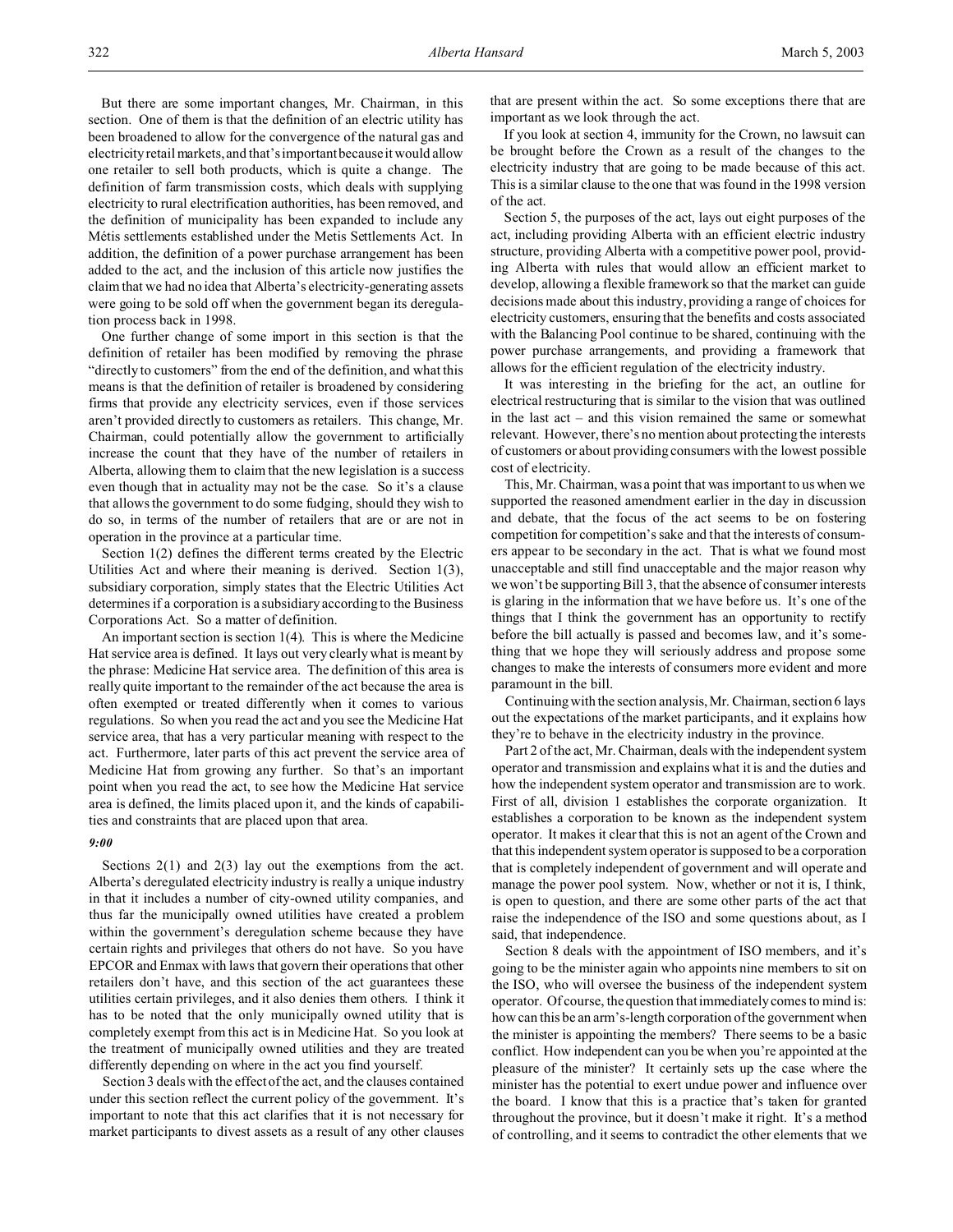But there are some important changes, Mr. Chairman, in this section. One of them is that the definition of an electric utility has been broadened to allow for the convergence of the natural gas and electricity retail markets, and that's important because it would allow one retailer to sell both products, which is quite a change. The definition of farm transmission costs, which deals with supplying electricity to rural electrification authorities, has been removed, and the definition of municipality has been expanded to include any Métis settlements established under the Metis Settlements Act. In addition, the definition of a power purchase arrangement has been added to the act, and the inclusion of this article now justifies the claim that we had no idea that Alberta's electricity-generating assets were going to be sold off when the government began its deregulation process back in 1998.

One further change of some import in this section is that the definition of retailer has been modified by removing the phrase "directly to customers" from the end of the definition, and what this means is that the definition of retailer is broadened by considering firms that provide any electricity services, even if those services aren't provided directly to customers as retailers. This change, Mr. Chairman, could potentially allow the government to artificially increase the count that they have of the number of retailers in Alberta, allowing them to claim that the new legislation is a success even though that in actuality may not be the case. So it's a clause that allows the government to do some fudging, should they wish to do so, in terms of the number of retailers that are or are not in operation in the province at a particular time.

Section 1(2) defines the different terms created by the Electric Utilities Act and where their meaning is derived. Section 1(3), subsidiary corporation, simply states that the Electric Utilities Act determines if a corporation is a subsidiary according to the Business Corporations Act. So a matter of definition.

An important section is section 1(4). This is where the Medicine Hat service area is defined. It lays out very clearly what is meant by the phrase: Medicine Hat service area. The definition of this area is really quite important to the remainder of the act because the area is often exempted or treated differently when it comes to various regulations. So when you read the act and you see the Medicine Hat service area, that has a very particular meaning with respect to the act. Furthermore, later parts of this act prevent the service area of Medicine Hat from growing any further. So that's an important point when you read the act, to see how the Medicine Hat service area is defined, the limits placed upon it, and the kinds of capabilities and constraints that are placed upon that area.

#### *9:00*

Sections  $2(1)$  and  $2(3)$  lay out the exemptions from the act. Alberta's deregulated electricity industry is really a unique industry in that it includes a number of city-owned utility companies, and thus far the municipally owned utilities have created a problem within the government's deregulation scheme because they have certain rights and privileges that others do not have. So you have EPCOR and Enmax with laws that govern their operations that other retailers don't have, and this section of the act guarantees these utilities certain privileges, and it also denies them others. I think it has to be noted that the only municipally owned utility that is completely exempt from this act is in Medicine Hat. So you look at the treatment of municipally owned utilities and they are treated differently depending on where in the act you find yourself.

Section 3 deals with the effect of the act, and the clauses contained under this section reflect the current policy of the government. It's important to note that this act clarifies that it is not necessary for market participants to divest assets as a result of any other clauses that are present within the act. So some exceptions there that are important as we look through the act.

If you look at section 4, immunity for the Crown, no lawsuit can be brought before the Crown as a result of the changes to the electricity industry that are going to be made because of this act. This is a similar clause to the one that was found in the 1998 version of the act.

Section 5, the purposes of the act, lays out eight purposes of the act, including providing Alberta with an efficient electric industry structure, providing Alberta with a competitive power pool, providing Alberta with rules that would allow an efficient market to develop, allowing a flexible framework so that the market can guide decisions made about this industry, providing a range of choices for electricity customers, ensuring that the benefits and costs associated with the Balancing Pool continue to be shared, continuing with the power purchase arrangements, and providing a framework that allows for the efficient regulation of the electricity industry.

It was interesting in the briefing for the act, an outline for electrical restructuring that is similar to the vision that was outlined in the last act – and this vision remained the same or somewhat relevant. However, there's no mention about protecting the interests of customers or about providing consumers with the lowest possible cost of electricity.

This, Mr. Chairman, was a point that was important to us when we supported the reasoned amendment earlier in the day in discussion and debate, that the focus of the act seems to be on fostering competition for competition's sake and that the interests of consumers appear to be secondary in the act. That is what we found most unacceptable and still find unacceptable and the major reason why we won't be supporting Bill 3, that the absence of consumer interests is glaring in the information that we have before us. It's one of the things that I think the government has an opportunity to rectify before the bill actually is passed and becomes law, and it's something that we hope they will seriously address and propose some changes to make the interests of consumers more evident and more paramount in the bill.

Continuing with the section analysis, Mr. Chairman, section 6 lays out the expectations of the market participants, and it explains how they're to behave in the electricity industry in the province.

Part 2 of the act, Mr. Chairman, deals with the independent system operator and transmission and explains what it is and the duties and how the independent system operator and transmission are to work. First of all, division 1 establishes the corporate organization. It establishes a corporation to be known as the independent system operator. It makes it clear that this is not an agent of the Crown and that this independent system operator is supposed to be a corporation that is completely independent of government and will operate and manage the power pool system. Now, whether or not it is, I think, is open to question, and there are some other parts of the act that raise the independence of the ISO and some questions about, as I said, that independence.

Section 8 deals with the appointment of ISO members, and it's going to be the minister again who appoints nine members to sit on the ISO, who will oversee the business of the independent system operator. Of course, the question that immediately comes to mind is: how can this be an arm's-length corporation of the government when the minister is appointing the members? There seems to be a basic conflict. How independent can you be when you're appointed at the pleasure of the minister? It certainly sets up the case where the minister has the potential to exert undue power and influence over the board. I know that this is a practice that's taken for granted throughout the province, but it doesn't make it right. It's a method of controlling, and it seems to contradict the other elements that we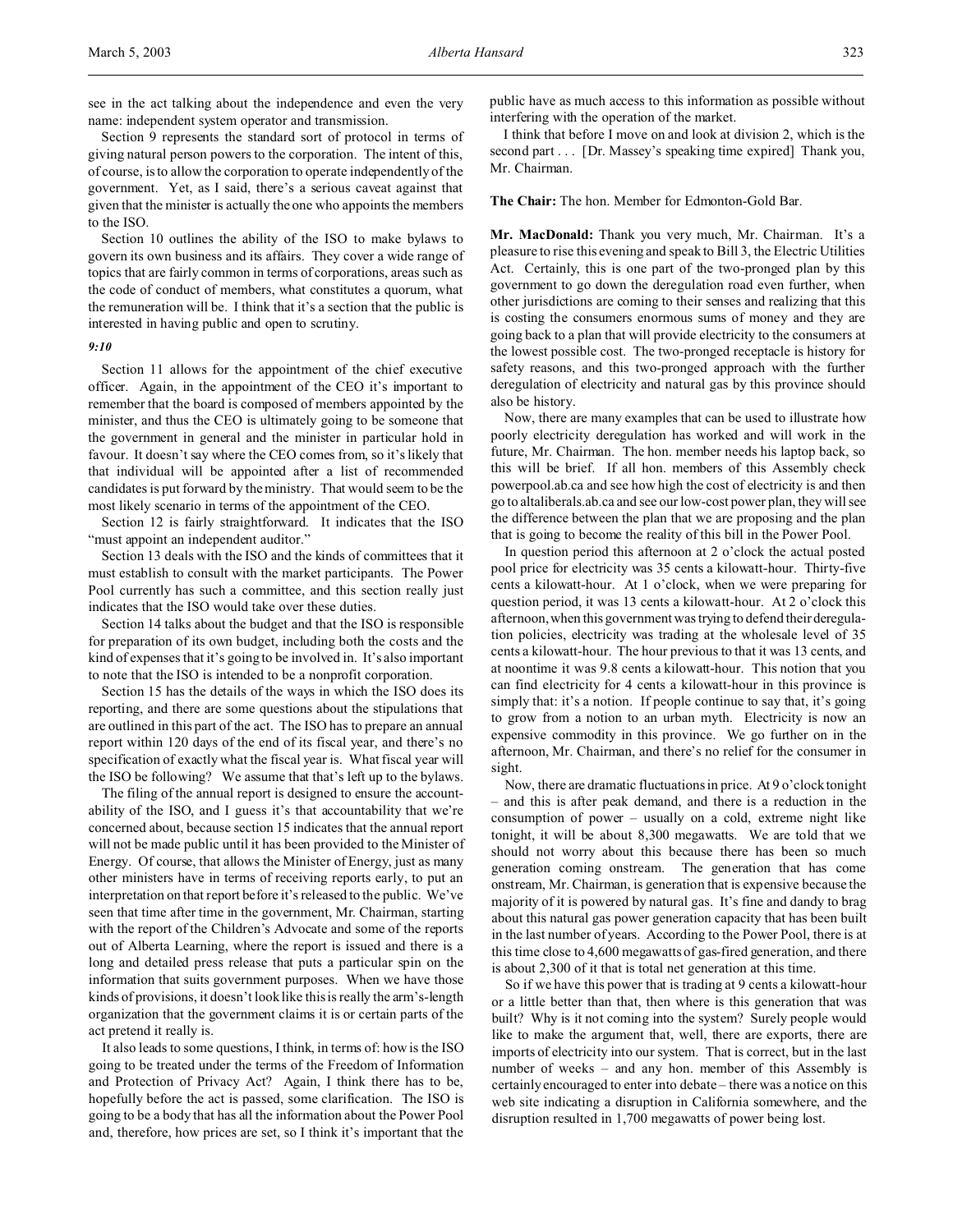Section 9 represents the standard sort of protocol in terms of giving natural person powers to the corporation. The intent of this, of course, is to allow the corporation to operate independently of the government. Yet, as I said, there's a serious caveat against that given that the minister is actually the one who appoints the members to the ISO.

Section 10 outlines the ability of the ISO to make bylaws to govern its own business and its affairs. They cover a wide range of topics that are fairly common in terms of corporations, areas such as the code of conduct of members, what constitutes a quorum, what the remuneration will be. I think that it's a section that the public is interested in having public and open to scrutiny.

#### *9:10*

Section 11 allows for the appointment of the chief executive officer. Again, in the appointment of the CEO it's important to remember that the board is composed of members appointed by the minister, and thus the CEO is ultimately going to be someone that the government in general and the minister in particular hold in favour. It doesn't say where the CEO comes from, so it's likely that that individual will be appointed after a list of recommended candidates is put forward by the ministry. That would seem to be the most likely scenario in terms of the appointment of the CEO.

Section 12 is fairly straightforward. It indicates that the ISO "must appoint an independent auditor."

Section 13 deals with the ISO and the kinds of committees that it must establish to consult with the market participants. The Power Pool currently has such a committee, and this section really just indicates that the ISO would take over these duties.

Section 14 talks about the budget and that the ISO is responsible for preparation of its own budget, including both the costs and the kind of expenses that it's going to be involved in. It's also important to note that the ISO is intended to be a nonprofit corporation.

Section 15 has the details of the ways in which the ISO does its reporting, and there are some questions about the stipulations that are outlined in this part of the act. The ISO has to prepare an annual report within 120 days of the end of its fiscal year, and there's no specification of exactly what the fiscal year is. What fiscal year will the ISO be following? We assume that that's left up to the bylaws.

The filing of the annual report is designed to ensure the accountability of the ISO, and I guess it's that accountability that we're concerned about, because section 15 indicates that the annual report will not be made public until it has been provided to the Minister of Energy. Of course, that allows the Minister of Energy, just as many other ministers have in terms of receiving reports early, to put an interpretation on that report before it's released to the public. We've seen that time after time in the government, Mr. Chairman, starting with the report of the Children's Advocate and some of the reports out of Alberta Learning, where the report is issued and there is a long and detailed press release that puts a particular spin on the information that suits government purposes. When we have those kinds of provisions, it doesn't look like this is really the arm's-length organization that the government claims it is or certain parts of the act pretend it really is.

It also leads to some questions, I think, in terms of: how is the ISO going to be treated under the terms of the Freedom of Information and Protection of Privacy Act? Again, I think there has to be, hopefully before the act is passed, some clarification. The ISO is going to be a body that has all the information about the Power Pool and, therefore, how prices are set, so I think it's important that the

public have as much access to this information as possible without interfering with the operation of the market.

I think that before I move on and look at division 2, which is the second part . . . [Dr. Massey's speaking time expired] Thank you, Mr. Chairman.

### **The Chair:** The hon. Member for Edmonton-Gold Bar.

**Mr. MacDonald:** Thank you very much, Mr. Chairman. It's a pleasure to rise this evening and speak to Bill 3, the Electric Utilities Act. Certainly, this is one part of the two-pronged plan by this government to go down the deregulation road even further, when other jurisdictions are coming to their senses and realizing that this is costing the consumers enormous sums of money and they are going back to a plan that will provide electricity to the consumers at the lowest possible cost. The two-pronged receptacle is history for safety reasons, and this two-pronged approach with the further deregulation of electricity and natural gas by this province should also be history.

Now, there are many examples that can be used to illustrate how poorly electricity deregulation has worked and will work in the future, Mr. Chairman. The hon. member needs his laptop back, so this will be brief. If all hon. members of this Assembly check powerpool.ab.ca and see how high the cost of electricity is and then go to altaliberals.ab.ca and see our low-cost power plan, they will see the difference between the plan that we are proposing and the plan that is going to become the reality of this bill in the Power Pool.

In question period this afternoon at 2 o'clock the actual posted pool price for electricity was 35 cents a kilowatt-hour. Thirty-five cents a kilowatt-hour. At 1 o'clock, when we were preparing for question period, it was 13 cents a kilowatt-hour. At 2 o'clock this afternoon, when this government was trying to defend their deregulation policies, electricity was trading at the wholesale level of 35 cents a kilowatt-hour. The hour previous to that it was 13 cents, and at noontime it was 9.8 cents a kilowatt-hour. This notion that you can find electricity for 4 cents a kilowatt-hour in this province is simply that: it's a notion. If people continue to say that, it's going to grow from a notion to an urban myth. Electricity is now an expensive commodity in this province. We go further on in the afternoon, Mr. Chairman, and there's no relief for the consumer in sight.

Now, there are dramatic fluctuations in price. At 9 o'clock tonight – and this is after peak demand, and there is a reduction in the consumption of power – usually on a cold, extreme night like tonight, it will be about 8,300 megawatts. We are told that we should not worry about this because there has been so much generation coming onstream. The generation that has come onstream, Mr. Chairman, is generation that is expensive because the majority of it is powered by natural gas. It's fine and dandy to brag about this natural gas power generation capacity that has been built in the last number of years. According to the Power Pool, there is at this time close to 4,600 megawatts of gas-fired generation, and there is about 2,300 of it that is total net generation at this time.

So if we have this power that is trading at 9 cents a kilowatt-hour or a little better than that, then where is this generation that was built? Why is it not coming into the system? Surely people would like to make the argument that, well, there are exports, there are imports of electricity into our system. That is correct, but in the last number of weeks – and any hon. member of this Assembly is certainly encouraged to enter into debate – there was a notice on this web site indicating a disruption in California somewhere, and the disruption resulted in 1,700 megawatts of power being lost.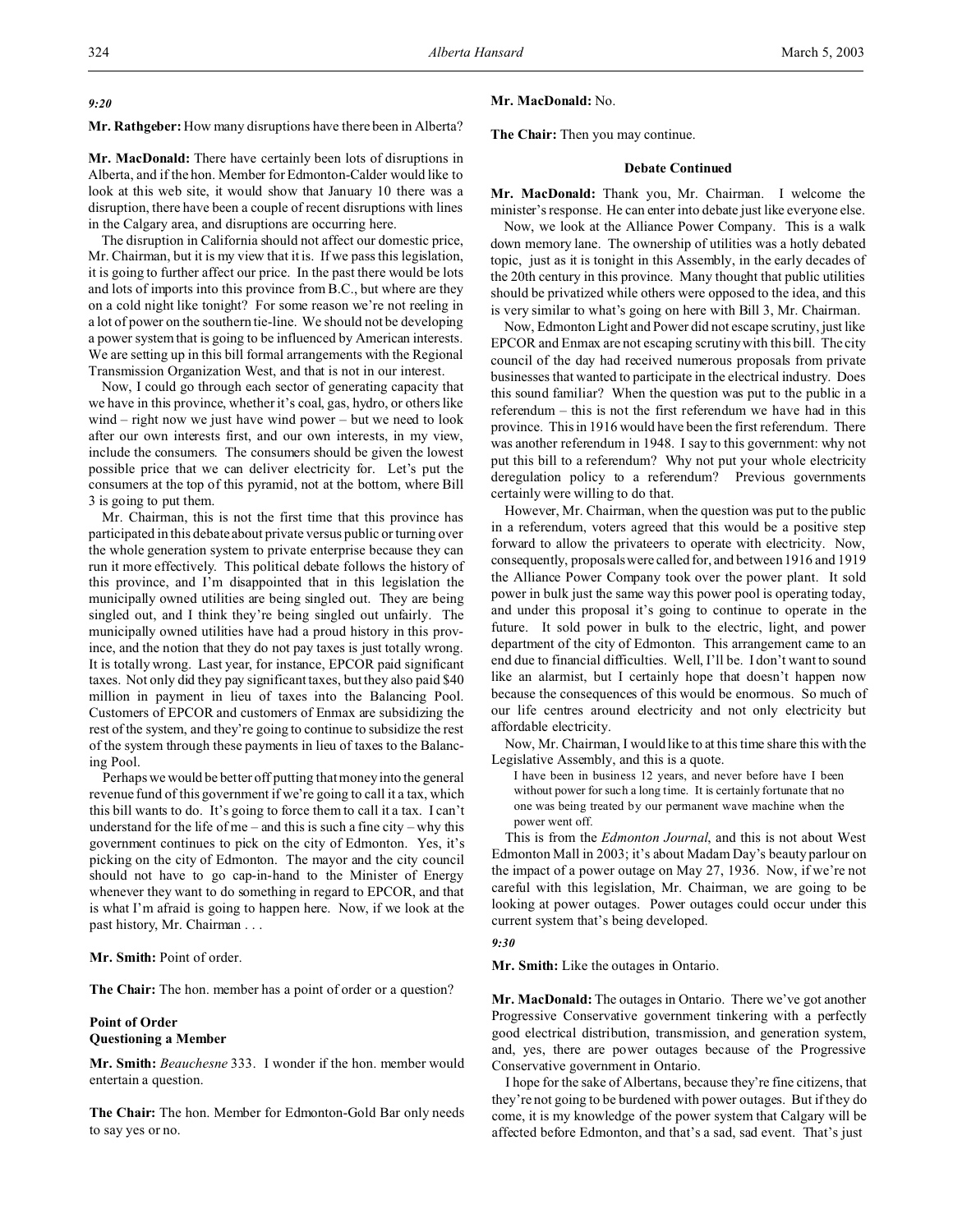*9:20*

**Mr. Rathgeber:** How many disruptions have there been in Alberta?

**Mr. MacDonald:** There have certainly been lots of disruptions in Alberta, and if the hon. Member for Edmonton-Calder would like to look at this web site, it would show that January 10 there was a disruption, there have been a couple of recent disruptions with lines in the Calgary area, and disruptions are occurring here.

The disruption in California should not affect our domestic price, Mr. Chairman, but it is my view that it is. If we pass this legislation, it is going to further affect our price. In the past there would be lots and lots of imports into this province from B.C., but where are they on a cold night like tonight? For some reason we're not reeling in a lot of power on the southern tie-line. We should not be developing a power system that is going to be influenced by American interests. We are setting up in this bill formal arrangements with the Regional Transmission Organization West, and that is not in our interest.

Now, I could go through each sector of generating capacity that we have in this province, whether it's coal, gas, hydro, or others like wind – right now we just have wind power – but we need to look after our own interests first, and our own interests, in my view, include the consumers. The consumers should be given the lowest possible price that we can deliver electricity for. Let's put the consumers at the top of this pyramid, not at the bottom, where Bill 3 is going to put them.

Mr. Chairman, this is not the first time that this province has participated in this debate about private versus public or turning over the whole generation system to private enterprise because they can run it more effectively. This political debate follows the history of this province, and I'm disappointed that in this legislation the municipally owned utilities are being singled out. They are being singled out, and I think they're being singled out unfairly. The municipally owned utilities have had a proud history in this province, and the notion that they do not pay taxes is just totally wrong. It is totally wrong. Last year, for instance, EPCOR paid significant taxes. Not only did they pay significant taxes, but they also paid \$40 million in payment in lieu of taxes into the Balancing Pool. Customers of EPCOR and customers of Enmax are subsidizing the rest of the system, and they're going to continue to subsidize the rest of the system through these payments in lieu of taxes to the Balancing Pool.

Perhaps we would be better off putting that money into the general revenue fund of this government if we're going to call it a tax, which this bill wants to do. It's going to force them to call it a tax. I can't understand for the life of me – and this is such a fine city – why this government continues to pick on the city of Edmonton. Yes, it's picking on the city of Edmonton. The mayor and the city council should not have to go cap-in-hand to the Minister of Energy whenever they want to do something in regard to EPCOR, and that is what I'm afraid is going to happen here. Now, if we look at the past history, Mr. Chairman . . .

**Mr. Smith:** Point of order.

**The Chair:** The hon. member has a point of order or a question?

## **Point of Order Questioning a Member**

**Mr. Smith:** *Beauchesne* 333. I wonder if the hon. member would entertain a question.

**The Chair:** The hon. Member for Edmonton-Gold Bar only needs to say yes or no.

### **Mr. MacDonald:** No.

**The Chair:** Then you may continue.

### **Debate Continued**

**Mr. MacDonald:** Thank you, Mr. Chairman. I welcome the minister's response. He can enter into debate just like everyone else.

Now, we look at the Alliance Power Company. This is a walk down memory lane. The ownership of utilities was a hotly debated topic, just as it is tonight in this Assembly, in the early decades of the 20th century in this province. Many thought that public utilities should be privatized while others were opposed to the idea, and this is very similar to what's going on here with Bill 3, Mr. Chairman.

Now, Edmonton Light and Power did not escape scrutiny, just like EPCOR and Enmax are not escaping scrutiny with this bill. The city council of the day had received numerous proposals from private businesses that wanted to participate in the electrical industry. Does this sound familiar? When the question was put to the public in a referendum – this is not the first referendum we have had in this province. This in 1916 would have been the first referendum. There was another referendum in 1948. I say to this government: why not put this bill to a referendum? Why not put your whole electricity deregulation policy to a referendum? Previous governments certainly were willing to do that.

However, Mr. Chairman, when the question was put to the public in a referendum, voters agreed that this would be a positive step forward to allow the privateers to operate with electricity. Now, consequently, proposals were called for, and between 1916 and 1919 the Alliance Power Company took over the power plant. It sold power in bulk just the same way this power pool is operating today, and under this proposal it's going to continue to operate in the future. It sold power in bulk to the electric, light, and power department of the city of Edmonton. This arrangement came to an end due to financial difficulties. Well, I'll be. I don't want to sound like an alarmist, but I certainly hope that doesn't happen now because the consequences of this would be enormous. So much of our life centres around electricity and not only electricity but affordable electricity.

Now, Mr. Chairman, I would like to at this time share this with the Legislative Assembly, and this is a quote.

I have been in business 12 years, and never before have I been without power for such a long time. It is certainly fortunate that no one was being treated by our permanent wave machine when the power went off.

This is from the *Edmonton Journal*, and this is not about West Edmonton Mall in 2003; it's about Madam Day's beauty parlour on the impact of a power outage on May 27, 1936. Now, if we're not careful with this legislation, Mr. Chairman, we are going to be looking at power outages. Power outages could occur under this current system that's being developed.

#### *9:30*

**Mr. Smith:** Like the outages in Ontario.

**Mr. MacDonald:** The outages in Ontario. There we've got another Progressive Conservative government tinkering with a perfectly good electrical distribution, transmission, and generation system, and, yes, there are power outages because of the Progressive Conservative government in Ontario.

I hope for the sake of Albertans, because they're fine citizens, that they're not going to be burdened with power outages. But if they do come, it is my knowledge of the power system that Calgary will be affected before Edmonton, and that's a sad, sad event. That's just